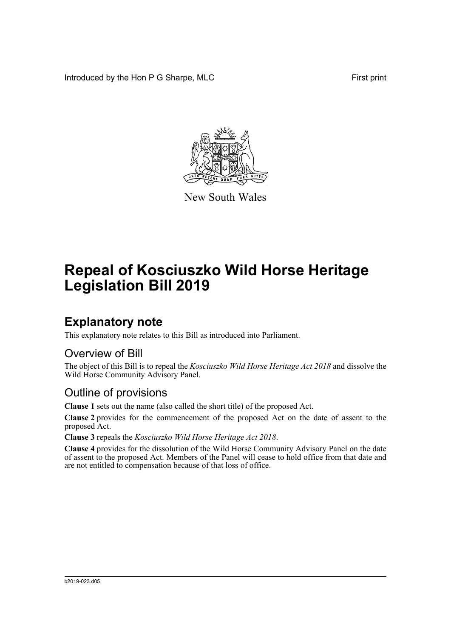Introduced by the Hon P G Sharpe, MLC First print



New South Wales

# **Repeal of Kosciuszko Wild Horse Heritage Legislation Bill 2019**

## **Explanatory note**

This explanatory note relates to this Bill as introduced into Parliament.

#### Overview of Bill

The object of this Bill is to repeal the *Kosciuszko Wild Horse Heritage Act 2018* and dissolve the Wild Horse Community Advisory Panel.

#### Outline of provisions

**Clause 1** sets out the name (also called the short title) of the proposed Act.

**Clause 2** provides for the commencement of the proposed Act on the date of assent to the proposed Act.

**Clause 3** repeals the *Kosciuszko Wild Horse Heritage Act 2018*.

**Clause 4** provides for the dissolution of the Wild Horse Community Advisory Panel on the date of assent to the proposed Act. Members of the Panel will cease to hold office from that date and are not entitled to compensation because of that loss of office.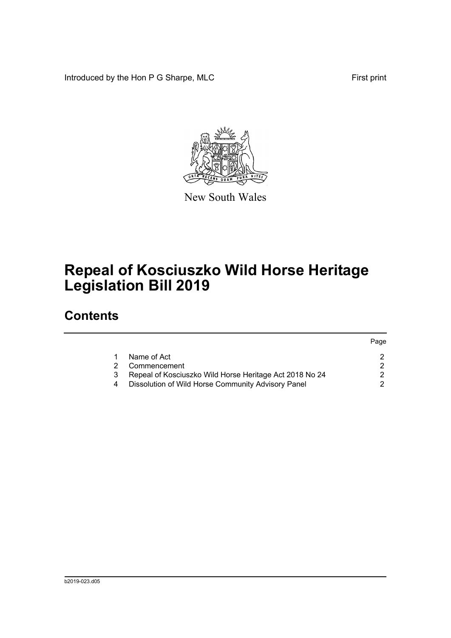Introduced by the Hon P G Sharpe, MLC First print



New South Wales

# **Repeal of Kosciuszko Wild Horse Heritage Legislation Bill 2019**

### **Contents**

|                                                         | Page |
|---------------------------------------------------------|------|
| Name of Act                                             |      |
| Commencement                                            |      |
| Repeal of Kosciuszko Wild Horse Heritage Act 2018 No 24 |      |
| Dissolution of Wild Horse Community Advisory Panel      |      |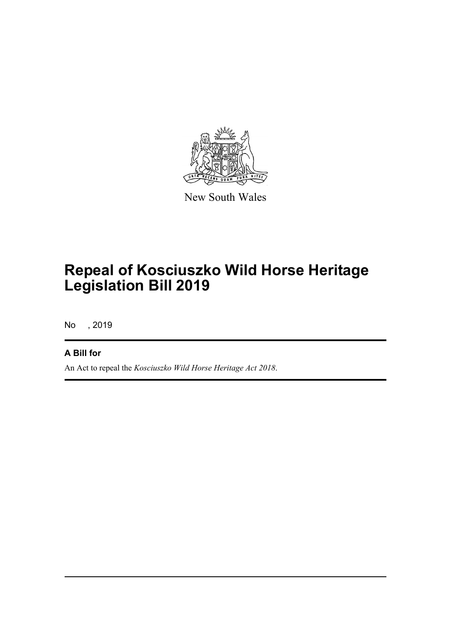

New South Wales

# **Repeal of Kosciuszko Wild Horse Heritage Legislation Bill 2019**

No , 2019

#### **A Bill for**

An Act to repeal the *Kosciuszko Wild Horse Heritage Act 2018*.